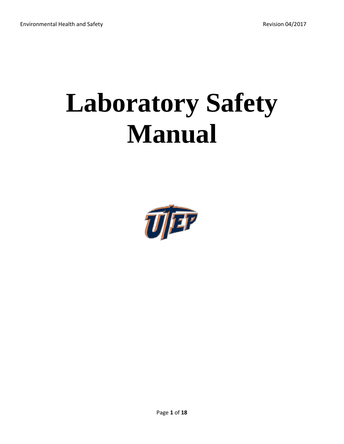# **Laboratory Safety Manual**

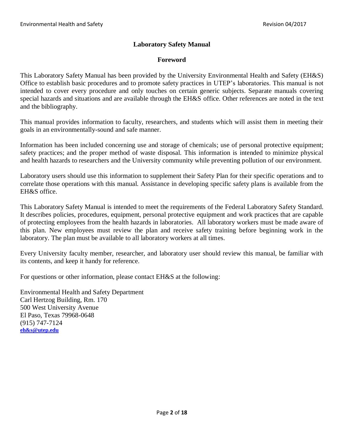# **Laboratory Safety Manual**

# **Foreword**

This Laboratory Safety Manual has been provided by the University Environmental Health and Safety (EH&S) Office to establish basic procedures and to promote safety practices in UTEP's laboratories. This manual is not intended to cover every procedure and only touches on certain generic subjects. Separate manuals covering special hazards and situations and are available through the EH&S office. Other references are noted in the text and the bibliography.

This manual provides information to faculty, researchers, and students which will assist them in meeting their goals in an environmentally-sound and safe manner.

Information has been included concerning use and storage of chemicals; use of personal protective equipment; safety practices; and the proper method of waste disposal. This information is intended to minimize physical and health hazards to researchers and the University community while preventing pollution of our environment.

Laboratory users should use this information to supplement their Safety Plan for their specific operations and to correlate those operations with this manual. Assistance in developing specific safety plans is available from the EH&S office.

This Laboratory Safety Manual is intended to meet the requirements of the Federal Laboratory Safety Standard. It describes policies, procedures, equipment, personal protective equipment and work practices that are capable of protecting employees from the health hazards in laboratories. All laboratory workers must be made aware of this plan. New employees must review the plan and receive safety training before beginning work in the laboratory. The plan must be available to all laboratory workers at all times.

Every University faculty member, researcher, and laboratory user should review this manual, be familiar with its contents, and keep it handy for reference.

For questions or other information, please contact EH&S at the following:

Environmental Health and Safety Department Carl Hertzog Building, Rm. 170 500 West University Avenue El Paso, Texas 79968-0648 (915) 747-7124 **[eh&s@utep.edu](mailto:eh&s@utep.edu)**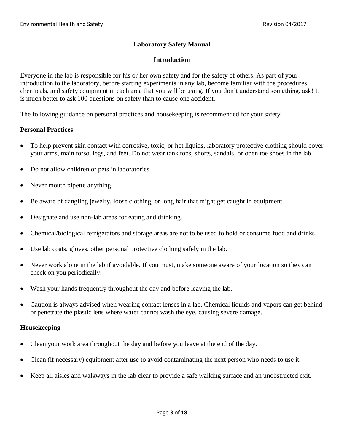# **Laboratory Safety Manual**

## **Introduction**

Everyone in the lab is responsible for his or her own safety and for the safety of others. As part of your introduction to the laboratory, before starting experiments in any lab, become familiar with the procedures, chemicals, and safety equipment in each area that you will be using. If you don't understand something, ask! It is much better to ask 100 questions on safety than to cause one accident.

The following guidance on personal practices and housekeeping is recommended for your safety.

#### **Personal Practices**

- To help prevent skin contact with corrosive, toxic, or hot liquids, laboratory protective clothing should cover your arms, main torso, legs, and feet. Do not wear tank tops, shorts, sandals, or open toe shoes in the lab.
- Do not allow children or pets in laboratories.
- Never mouth pipette anything.
- Be aware of dangling jewelry, loose clothing, or long hair that might get caught in equipment.
- Designate and use non-lab areas for eating and drinking.
- Chemical/biological refrigerators and storage areas are not to be used to hold or consume food and drinks.
- Use lab coats, gloves, other personal protective clothing safely in the lab.
- Never work alone in the lab if avoidable. If you must, make someone aware of your location so they can check on you periodically.
- Wash your hands frequently throughout the day and before leaving the lab.
- Caution is always advised when wearing contact lenses in a lab. Chemical liquids and vapors can get behind or penetrate the plastic lens where water cannot wash the eye, causing severe damage.

#### **Housekeeping**

- Clean your work area throughout the day and before you leave at the end of the day.
- Clean (if necessary) equipment after use to avoid contaminating the next person who needs to use it.
- Keep all aisles and walkways in the lab clear to provide a safe walking surface and an unobstructed exit.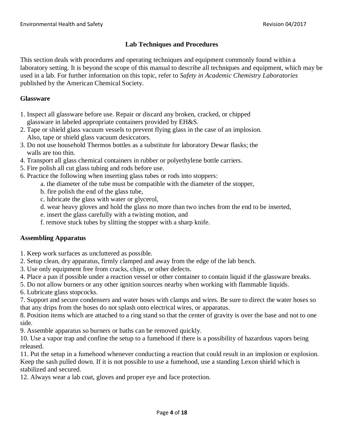# **Lab Techniques and Procedures**

This section deals with procedures and operating techniques and equipment commonly found within a laboratory setting. It is beyond the scope of this manual to describe all techniques and equipment, which may be used in a lab. For further information on this topic, refer to *Safety in Academic Chemistry Laboratories* published by the American Chemical Society.

# **Glassware**

- 1. Inspect all glassware before use. Repair or discard any broken, cracked, or chipped glassware in labeled appropriate containers provided by EH&S.
- 2. Tape or shield glass vacuum vessels to prevent flying glass in the case of an implosion. Also, tape or shield glass vacuum desiccators.
- 3. Do not use household Thermos bottles as a substitute for laboratory Dewar flasks; the walls are too thin.
- 4. Transport all glass chemical containers in rubber or polyethylene bottle carriers.
- 5. Fire polish all cut glass tubing and rods before use.
- 6. Practice the following when inserting glass tubes or rods into stoppers:
	- a. the diameter of the tube must be compatible with the diameter of the stopper,
	- b. fire polish the end of the glass tube,
	- c. lubricate the glass with water or glycerol,
	- d. wear heavy gloves and hold the glass no more than two inches from the end to be inserted,
	- e. insert the glass carefully with a twisting motion, and
	- f. remove stuck tubes by slitting the stopper with a sharp knife.

#### **Assembling Apparatus**

- 1. Keep work surfaces as uncluttered as possible.
- 2. Setup clean, dry apparatus, firmly clamped and away from the edge of the lab bench.
- 3. Use only equipment free from cracks, chips, or other defects.
- 4. Place a pan if possible under a reaction vessel or other container to contain liquid if the glassware breaks.
- 5. Do not allow burners or any other ignition sources nearby when working with flammable liquids.
- 6. Lubricate glass stopcocks.
- 7. Support and secure condensers and water hoses with clamps and wires. Be sure to direct the water hoses so that any drips from the hoses do not splash onto electrical wires, or apparatus.

8. Position items which are attached to a ring stand so that the center of gravity is over the base and not to one side.

9. Assemble apparatus so burners or baths can be removed quickly.

10. Use a vapor trap and confine the setup to a fumehood if there is a possibility of hazardous vapors being released.

11. Put the setup in a fumehood whenever conducting a reaction that could result in an implosion or explosion. Keep the sash pulled down. If it is not possible to use a fumehood, use a standing Lexon shield which is stabilized and secured.

12. Always wear a lab coat, gloves and proper eye and face protection.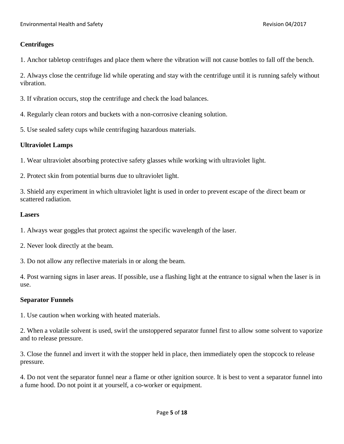# **Centrifuges**

1. Anchor tabletop centrifuges and place them where the vibration will not cause bottles to fall off the bench.

2. Always close the centrifuge lid while operating and stay with the centrifuge until it is running safely without vibration.

- 3. If vibration occurs, stop the centrifuge and check the load balances.
- 4. Regularly clean rotors and buckets with a non-corrosive cleaning solution.
- 5. Use sealed safety cups while centrifuging hazardous materials.

# **Ultraviolet Lamps**

1. Wear ultraviolet absorbing protective safety glasses while working with ultraviolet light.

2. Protect skin from potential burns due to ultraviolet light.

3. Shield any experiment in which ultraviolet light is used in order to prevent escape of the direct beam or scattered radiation.

#### **Lasers**

1. Always wear goggles that protect against the specific wavelength of the laser.

2. Never look directly at the beam.

3. Do not allow any reflective materials in or along the beam.

4. Post warning signs in laser areas. If possible, use a flashing light at the entrance to signal when the laser is in use.

#### **Separator Funnels**

1. Use caution when working with heated materials.

2. When a volatile solvent is used, swirl the unstoppered separator funnel first to allow some solvent to vaporize and to release pressure.

3. Close the funnel and invert it with the stopper held in place, then immediately open the stopcock to release pressure.

4. Do not vent the separator funnel near a flame or other ignition source. It is best to vent a separator funnel into a fume hood. Do not point it at yourself, a co-worker or equipment.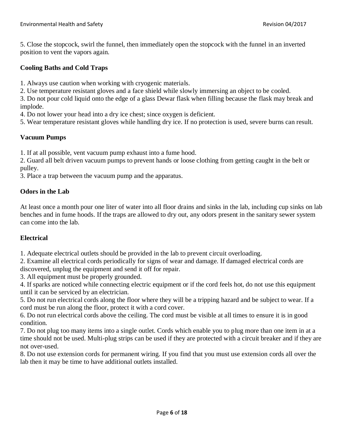5. Close the stopcock, swirl the funnel, then immediately open the stopcock with the funnel in an inverted position to vent the vapors again.

#### **Cooling Baths and Cold Traps**

1. Always use caution when working with cryogenic materials.

2. Use temperature resistant gloves and a face shield while slowly immersing an object to be cooled.

3. Do not pour cold liquid onto the edge of a glass Dewar flask when filling because the flask may break and implode.

4. Do not lower your head into a dry ice chest; since oxygen is deficient.

5. Wear temperature resistant gloves while handling dry ice. If no protection is used, severe burns can result.

## **Vacuum Pumps**

1. If at all possible, vent vacuum pump exhaust into a fume hood.

2. Guard all belt driven vacuum pumps to prevent hands or loose clothing from getting caught in the belt or pulley.

3. Place a trap between the vacuum pump and the apparatus.

## **Odors in the Lab**

At least once a month pour one liter of water into all floor drains and sinks in the lab, including cup sinks on lab benches and in fume hoods. If the traps are allowed to dry out, any odors present in the sanitary sewer system can come into the lab.

# **Electrical**

1. Adequate electrical outlets should be provided in the lab to prevent circuit overloading.

2. Examine all electrical cords periodically for signs of wear and damage. If damaged electrical cords are discovered, unplug the equipment and send it off for repair.

3. All equipment must be properly grounded.

4. If sparks are noticed while connecting electric equipment or if the cord feels hot, do not use this equipment until it can be serviced by an electrician.

5. Do not run electrical cords along the floor where they will be a tripping hazard and be subject to wear. If a cord must be run along the floor, protect it with a cord cover.

6. Do not run electrical cords above the ceiling. The cord must be visible at all times to ensure it is in good condition.

7. Do not plug too many items into a single outlet. Cords which enable you to plug more than one item in at a time should not be used. Multi-plug strips can be used if they are protected with a circuit breaker and if they are not over-used.

8. Do not use extension cords for permanent wiring. If you find that you must use extension cords all over the lab then it may be time to have additional outlets installed.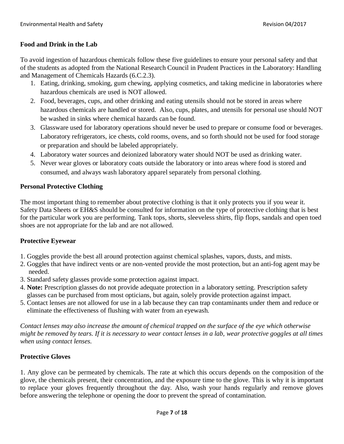# **Food and Drink in the Lab**

To avoid ingestion of hazardous chemicals follow these five guidelines to ensure your personal safety and that of the students as adopted from the National Research Council in Prudent Practices in the Laboratory: Handling and Management of Chemicals Hazards (6.C.2.3).

- 1. Eating, drinking, smoking, gum chewing, applying cosmetics, and taking medicine in laboratories where hazardous chemicals are used is NOT allowed.
- 2. Food, beverages, cups, and other drinking and eating utensils should not be stored in areas where hazardous chemicals are handled or stored. Also, cups, plates, and utensils for personal use should NOT be washed in sinks where chemical hazards can be found.
- 3. Glassware used for laboratory operations should never be used to prepare or consume food or beverages. Laboratory refrigerators, ice chests, cold rooms, ovens, and so forth should not be used for food storage or preparation and should be labeled appropriately.
- 4. Laboratory water sources and deionized laboratory water should NOT be used as drinking water.
- 5. Never wear gloves or laboratory coats outside the laboratory or into areas where food is stored and consumed, and always wash laboratory apparel separately from personal clothing.

# **Personal Protective Clothing**

The most important thing to remember about protective clothing is that it only protects you if you wear it. Safety Data Sheets or EH&S should be consulted for information on the type of protective clothing that is best for the particular work you are performing. Tank tops, shorts, sleeveless shirts, flip flops, sandals and open toed shoes are not appropriate for the lab and are not allowed.

# **Protective Eyewear**

- 1. Goggles provide the best all around protection against chemical splashes, vapors, dusts, and mists.
- 2. Goggles that have indirect vents or are non-vented provide the most protection, but an anti-fog agent may be needed.
- 3. Standard safety glasses provide some protection against impact.
- 4. **Note:** Prescription glasses do not provide adequate protection in a laboratory setting. Prescription safety glasses can be purchased from most opticians, but again, solely provide protection against impact.
- 5. Contact lenses are not allowed for use in a lab because they can trap contaminants under them and reduce or eliminate the effectiveness of flushing with water from an eyewash.

*Contact lenses may also increase the amount of chemical trapped on the surface of the eye which otherwise might be removed by tears. If it is necessary to wear contact lenses in a lab, wear protective goggles at all times when using contact lenses.*

# **Protective Gloves**

1. Any glove can be permeated by chemicals. The rate at which this occurs depends on the composition of the glove, the chemicals present, their concentration, and the exposure time to the glove. This is why it is important to replace your gloves frequently throughout the day. Also, wash your hands regularly and remove gloves before answering the telephone or opening the door to prevent the spread of contamination.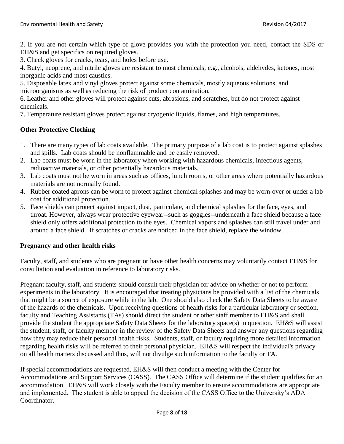2. If you are not certain which type of glove provides you with the protection you need, contact the SDS or EH&S and get specifics on required gloves.

3. Check gloves for cracks, tears, and holes before use.

4. Butyl, neoprene, and nitrile gloves are resistant to most chemicals, e.g., alcohols, aldehydes, ketones, most inorganic acids and most caustics.

5. Disposable latex and vinyl gloves protect against some chemicals, mostly aqueous solutions, and microorganisms as well as reducing the risk of product contamination.

6. Leather and other gloves will protect against cuts, abrasions, and scratches, but do not protect against chemicals.

7. Temperature resistant gloves protect against cryogenic liquids, flames, and high temperatures.

# **Other Protective Clothing**

- 1. There are many types of lab coats available. The primary purpose of a lab coat is to protect against splashes and spills. Lab coats should be nonflammable and be easily removed.
- 2. Lab coats must be worn in the laboratory when working with hazardous chemicals, infectious agents, radioactive materials, or other potentially hazardous materials.
- 3. Lab coats must not be worn in areas such as offices, lunch rooms, or other areas where potentially hazardous materials are not normally found.
- 4. Rubber coated aprons can be worn to protect against chemical splashes and may be worn over or under a lab coat for additional protection.
- 5. Face shields can protect against impact, dust, particulate, and chemical splashes for the face, eyes, and throat. However, always wear protective eyewear--such as goggles--underneath a face shield because a face shield only offers additional protection to the eyes. Chemical vapors and splashes can still travel under and around a face shield. If scratches or cracks are noticed in the face shield, replace the window.

# **Pregnancy and other health risks**

Faculty, staff, and students who are pregnant or have other health concerns may voluntarily contact EH&S for consultation and evaluation in reference to laboratory risks.

Pregnant faculty, staff, and students should consult their physician for advice on whether or not to perform experiments in the laboratory. It is encouraged that treating physicians be provided with a list of the chemicals that might be a source of exposure while in the lab. One should also check the Safety Data Sheets to be aware of the hazards of the chemicals. Upon receiving questions of health risks for a particular laboratory or section, faculty and Teaching Assistants (TAs) should direct the student or other staff member to EH&S and shall provide the student the appropriate Safety Data Sheets for the laboratory space(s) in question. EH&S will assist the student, staff, or faculty member in the review of the Safety Data Sheets and answer any questions regarding how they may reduce their personal health risks. Students, staff, or faculty requiring more detailed information regarding health risks will be referred to their personal physician. EH&S will respect the individual's privacy on all health matters discussed and thus, will not divulge such information to the faculty or TA.

If special accommodations are requested, EH&S will then conduct a meeting with the Center for Accommodations and Support Services (CASS). The CASS Office will determine if the student qualifies for an accommodation. EH&S will work closely with the Faculty member to ensure accommodations are appropriate and implemented. The student is able to appeal the decision of the CASS Office to the University's ADA Coordinator.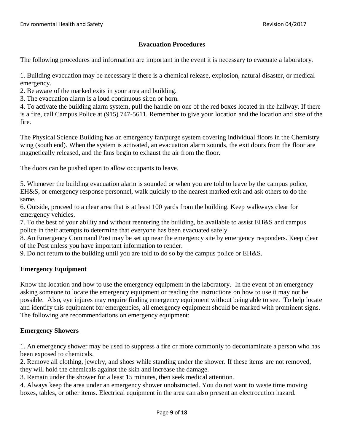# **Evacuation Procedures**

The following procedures and information are important in the event it is necessary to evacuate a laboratory.

1. Building evacuation may be necessary if there is a chemical release, explosion, natural disaster, or medical emergency.

2. Be aware of the marked exits in your area and building.

3. The evacuation alarm is a loud continuous siren or horn.

4. To activate the building alarm system, pull the handle on one of the red boxes located in the hallway. If there is a fire, call Campus Police at (915) 747-5611. Remember to give your location and the location and size of the fire.

The Physical Science Building has an emergency fan/purge system covering individual floors in the Chemistry wing (south end). When the system is activated, an evacuation alarm sounds, the exit doors from the floor are magnetically released, and the fans begin to exhaust the air from the floor.

The doors can be pushed open to allow occupants to leave.

5. Whenever the building evacuation alarm is sounded or when you are told to leave by the campus police, EH&S, or emergency response personnel, walk quickly to the nearest marked exit and ask others to do the same.

6. Outside, proceed to a clear area that is at least 100 yards from the building. Keep walkways clear for emergency vehicles.

7. To the best of your ability and without reentering the building, be available to assist EH&S and campus police in their attempts to determine that everyone has been evacuated safely.

8. An Emergency Command Post may be set up near the emergency site by emergency responders. Keep clear of the Post unless you have important information to render.

9. Do not return to the building until you are told to do so by the campus police or EH&S.

# **Emergency Equipment**

Know the location and how to use the emergency equipment in the laboratory. In the event of an emergency asking someone to locate the emergency equipment or reading the instructions on how to use it may not be possible. Also, eye injures may require finding emergency equipment without being able to see. To help locate and identify this equipment for emergencies, all emergency equipment should be marked with prominent signs. The following are recommendations on emergency equipment:

# **Emergency Showers**

1. An emergency shower may be used to suppress a fire or more commonly to decontaminate a person who has been exposed to chemicals.

2. Remove all clothing, jewelry, and shoes while standing under the shower. If these items are not removed, they will hold the chemicals against the skin and increase the damage.

3. Remain under the shower for a least 15 minutes, then seek medical attention.

4. Always keep the area under an emergency shower unobstructed. You do not want to waste time moving boxes, tables, or other items. Electrical equipment in the area can also present an electrocution hazard.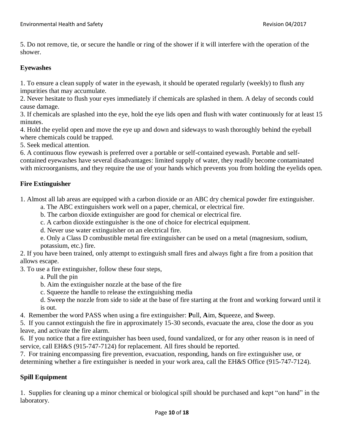5. Do not remove, tie, or secure the handle or ring of the shower if it will interfere with the operation of the shower.

# **Eyewashes**

1. To ensure a clean supply of water in the eyewash, it should be operated regularly (weekly) to flush any impurities that may accumulate.

2. Never hesitate to flush your eyes immediately if chemicals are splashed in them. A delay of seconds could cause damage.

3. If chemicals are splashed into the eye, hold the eye lids open and flush with water continuously for at least 15 minutes.

4. Hold the eyelid open and move the eye up and down and sideways to wash thoroughly behind the eyeball where chemicals could be trapped.

5. Seek medical attention.

6. A continuous flow eyewash is preferred over a portable or self-contained eyewash. Portable and selfcontained eyewashes have several disadvantages: limited supply of water, they readily become contaminated with microorganisms, and they require the use of your hands which prevents you from holding the eyelids open.

# **Fire Extinguisher**

1. Almost all lab areas are equipped with a carbon dioxide or an ABC dry chemical powder fire extinguisher.

- a. The ABC extinguishers work well on a paper, chemical, or electrical fire.
- b. The carbon dioxide extinguisher are good for chemical or electrical fire.
- c. A carbon dioxide extinguisher is the one of choice for electrical equipment.
- d. Never use water extinguisher on an electrical fire.

e. Only a Class D combustible metal fire extinguisher can be used on a metal (magnesium, sodium, potassium, etc.) fire.

2. If you have been trained, only attempt to extinguish small fires and always fight a fire from a position that allows escape.

3. To use a fire extinguisher, follow these four steps,

- a. Pull the pin
- b. Aim the extinguisher nozzle at the base of the fire
- c. Squeeze the handle to release the extinguishing media
- d. Sweep the nozzle from side to side at the base of fire starting at the front and working forward until it is out.
- 4. Remember the word PASS when using a fire extinguisher: **P**ull, **A**im, **S**queeze, and **S**weep.

5. If you cannot extinguish the fire in approximately 15-30 seconds, evacuate the area, close the door as you leave, and activate the fire alarm.

6. If you notice that a fire extinguisher has been used, found vandalized, or for any other reason is in need of service, call EH&S (915-747-7124) for replacement. All fires should be reported.

7. For training encompassing fire prevention, evacuation, responding, hands on fire extinguisher use, or determining whether a fire extinguisher is needed in your work area, call the EH&S Office (915-747-7124).

# **Spill Equipment**

1. Supplies for cleaning up a minor chemical or biological spill should be purchased and kept "on hand" in the laboratory.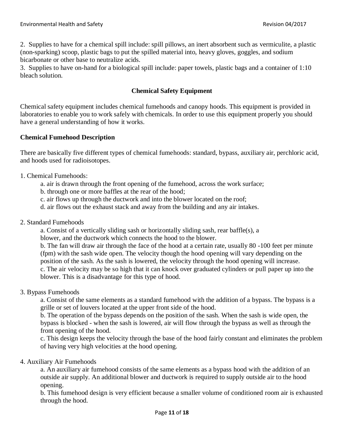2. Supplies to have for a chemical spill include: spill pillows, an inert absorbent such as vermiculite, a plastic (non-sparking) scoop, plastic bags to put the spilled material into, heavy gloves, goggles, and sodium bicarbonate or other base to neutralize acids.

3. Supplies to have on-hand for a biological spill include: paper towels, plastic bags and a container of 1:10 bleach solution.

# **Chemical Safety Equipment**

Chemical safety equipment includes chemical fumehoods and canopy hoods. This equipment is provided in laboratories to enable you to work safely with chemicals. In order to use this equipment properly you should have a general understanding of how it works.

# **Chemical Fumehood Description**

There are basically five different types of chemical fumehoods: standard, bypass, auxiliary air, perchloric acid, and hoods used for radioisotopes.

- 1. Chemical Fumehoods:
	- a. air is drawn through the front opening of the fumehood, across the work surface;
	- b. through one or more baffles at the rear of the hood;
	- c. air flows up through the ductwork and into the blower located on the roof;
	- d. air flows out the exhaust stack and away from the building and any air intakes.
- 2. Standard Fumehoods

a. Consist of a vertically sliding sash or horizontally sliding sash, rear baffle(s), a

blower, and the ductwork which connects the hood to the blower.

b. The fan will draw air through the face of the hood at a certain rate, usually 80 -100 feet per minute (fpm) with the sash wide open. The velocity though the hood opening will vary depending on the position of the sash. As the sash is lowered, the velocity through the hood opening will increase. c. The air velocity may be so high that it can knock over graduated cylinders or pull paper up into the blower. This is a disadvantage for this type of hood.

3. Bypass Fumehoods

a. Consist of the same elements as a standard fumehood with the addition of a bypass. The bypass is a grille or set of louvers located at the upper front side of the hood.

b. The operation of the bypass depends on the position of the sash. When the sash is wide open, the bypass is blocked - when the sash is lowered, air will flow through the bypass as well as through the front opening of the hood.

c. This design keeps the velocity through the base of the hood fairly constant and eliminates the problem of having very high velocities at the hood opening.

#### 4. Auxiliary Air Fumehoods

a. An auxiliary air fumehood consists of the same elements as a bypass hood with the addition of an outside air supply. An additional blower and ductwork is required to supply outside air to the hood opening.

b. This fumehood design is very efficient because a smaller volume of conditioned room air is exhausted through the hood.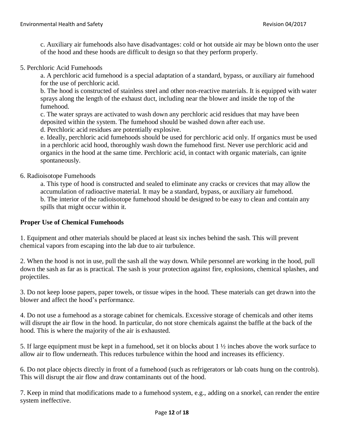c. Auxiliary air fumehoods also have disadvantages: cold or hot outside air may be blown onto the user of the hood and these hoods are difficult to design so that they perform properly.

#### 5. Perchloric Acid Fumehoods

a. A perchloric acid fumehood is a special adaptation of a standard, bypass, or auxiliary air fumehood for the use of perchloric acid.

b. The hood is constructed of stainless steel and other non-reactive materials. It is equipped with water sprays along the length of the exhaust duct, including near the blower and inside the top of the fumehood.

c. The water sprays are activated to wash down any perchloric acid residues that may have been deposited within the system. The fumehood should be washed down after each use.

d. Perchloric acid residues are potentially explosive.

e. Ideally, perchloric acid fumehoods should be used for perchloric acid only. If organics must be used in a perchloric acid hood, thoroughly wash down the fumehood first. Never use perchloric acid and organics in the hood at the same time. Perchloric acid, in contact with organic materials, can ignite spontaneously.

#### 6. Radioisotope Fumehoods

a. This type of hood is constructed and sealed to eliminate any cracks or crevices that may allow the accumulation of radioactive material. It may be a standard, bypass, or auxiliary air fumehood. b. The interior of the radioisotope fumehood should be designed to be easy to clean and contain any spills that might occur within it.

#### **Proper Use of Chemical Fumehoods**

1. Equipment and other materials should be placed at least six inches behind the sash. This will prevent chemical vapors from escaping into the lab due to air turbulence.

2. When the hood is not in use, pull the sash all the way down. While personnel are working in the hood, pull down the sash as far as is practical. The sash is your protection against fire, explosions, chemical splashes, and projectiles.

3. Do not keep loose papers, paper towels, or tissue wipes in the hood. These materials can get drawn into the blower and affect the hood's performance.

4. Do not use a fumehood as a storage cabinet for chemicals. Excessive storage of chemicals and other items will disrupt the air flow in the hood. In particular, do not store chemicals against the baffle at the back of the hood. This is where the majority of the air is exhausted.

5. If large equipment must be kept in a fumehood, set it on blocks about 1 ½ inches above the work surface to allow air to flow underneath. This reduces turbulence within the hood and increases its efficiency.

6. Do not place objects directly in front of a fumehood (such as refrigerators or lab coats hung on the controls). This will disrupt the air flow and draw contaminants out of the hood.

7. Keep in mind that modifications made to a fumehood system, e.g., adding on a snorkel, can render the entire system ineffective.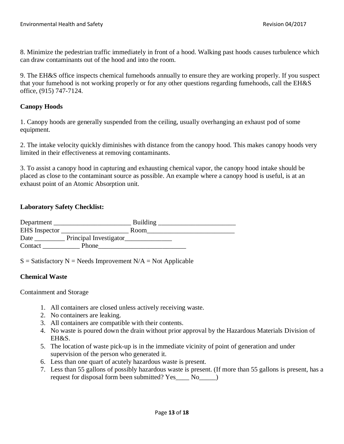8. Minimize the pedestrian traffic immediately in front of a hood. Walking past hoods causes turbulence which can draw contaminants out of the hood and into the room.

9. The EH&S office inspects chemical fumehoods annually to ensure they are working properly. If you suspect that your fumehood is not working properly or for any other questions regarding fumehoods, call the EH&S office, (915) 747-7124.

## **Canopy Hoods**

1. Canopy hoods are generally suspended from the ceiling, usually overhanging an exhaust pod of some equipment.

2. The intake velocity quickly diminishes with distance from the canopy hood. This makes canopy hoods very limited in their effectiveness at removing contaminants.

3. To assist a canopy hood in capturing and exhausting chemical vapor, the canopy hood intake should be placed as close to the contaminant source as possible. An example where a canopy hood is useful, is at an exhaust point of an Atomic Absorption unit.

## **Laboratory Safety Checklist:**

| Department           |                        | <b>Building</b> |
|----------------------|------------------------|-----------------|
| <b>EHS</b> Inspector |                        | Room            |
| Date                 | Principal Investigator |                 |
| Contact              | Phone                  |                 |

 $S = S$ atisfactory N = Needs Improvement N/A = Not Applicable

#### **Chemical Waste**

Containment and Storage

- 1. All containers are closed unless actively receiving waste.
- 2. No containers are leaking.
- 3. All containers are compatible with their contents.
- 4. No waste is poured down the drain without prior approval by the Hazardous Materials Division of EH&S.
- 5. The location of waste pick-up is in the immediate vicinity of point of generation and under supervision of the person who generated it.
- 6. Less than one quart of acutely hazardous waste is present.
- 7. Less than 55 gallons of possibly hazardous waste is present. (If more than 55 gallons is present, has a request for disposal form been submitted? Yes No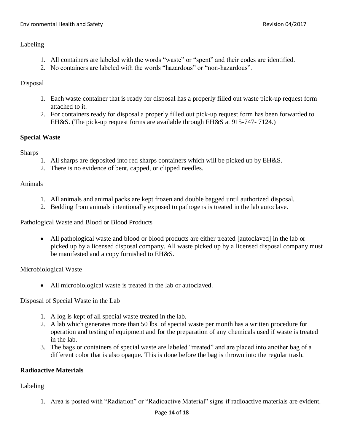# Labeling

- 1. All containers are labeled with the words "waste" or "spent" and their codes are identified.
- 2. No containers are labeled with the words "hazardous" or "non-hazardous".

# Disposal

- 1. Each waste container that is ready for disposal has a properly filled out waste pick-up request form attached to it.
- 2. For containers ready for disposal a properly filled out pick-up request form has been forwarded to EH&S. (The pick-up request forms are available through EH&S at 915-747- 7124.)

# **Special Waste**

Sharps

- 1. All sharps are deposited into red sharps containers which will be picked up by EH&S.
- 2. There is no evidence of bent, capped, or clipped needles.

# Animals

- 1. All animals and animal packs are kept frozen and double bagged until authorized disposal.
- 2. Bedding from animals intentionally exposed to pathogens is treated in the lab autoclave.

Pathological Waste and Blood or Blood Products

• All pathological waste and blood or blood products are either treated [autoclaved] in the lab or picked up by a licensed disposal company. All waste picked up by a licensed disposal company must be manifested and a copy furnished to EH&S.

Microbiological Waste

• All microbiological waste is treated in the lab or autoclaved.

Disposal of Special Waste in the Lab

- 1. A log is kept of all special waste treated in the lab.
- 2. A lab which generates more than 50 lbs. of special waste per month has a written procedure for operation and testing of equipment and for the preparation of any chemicals used if waste is treated in the lab.
- 3. The bags or containers of special waste are labeled "treated" and are placed into another bag of a different color that is also opaque. This is done before the bag is thrown into the regular trash.

# **Radioactive Materials**

Labeling

1. Area is posted with "Radiation" or "Radioactive Material" signs if radioactive materials are evident.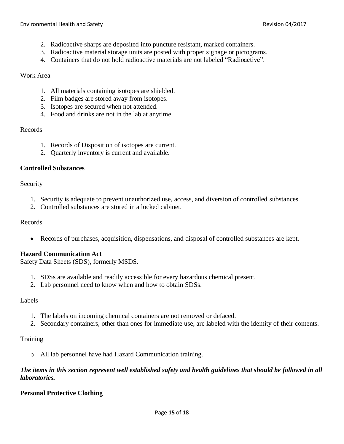- 2. Radioactive sharps are deposited into puncture resistant, marked containers.
- 3. Radioactive material storage units are posted with proper signage or pictograms.
- 4. Containers that do not hold radioactive materials are not labeled "Radioactive".

#### Work Area

- 1. All materials containing isotopes are shielded.
- 2. Film badges are stored away from isotopes.
- 3. Isotopes are secured when not attended.
- 4. Food and drinks are not in the lab at anytime.

#### Records

- 1. Records of Disposition of isotopes are current.
- 2. Quarterly inventory is current and available.

#### **Controlled Substances**

## Security

- 1. Security is adequate to prevent unauthorized use, access, and diversion of controlled substances.
- 2. Controlled substances are stored in a locked cabinet.

#### Records

• Records of purchases, acquisition, dispensations, and disposal of controlled substances are kept.

#### **Hazard Communication Act**

Safety Data Sheets (SDS), formerly MSDS.

- 1. SDSs are available and readily accessible for every hazardous chemical present.
- 2. Lab personnel need to know when and how to obtain SDSs.

#### Labels

- 1. The labels on incoming chemical containers are not removed or defaced.
- 2. Secondary containers, other than ones for immediate use, are labeled with the identity of their contents.

# **Training**

o All lab personnel have had Hazard Communication training.

# *The items in this section represent well established safety and health guidelines that should be followed in all laboratories.*

# **Personal Protective Clothing**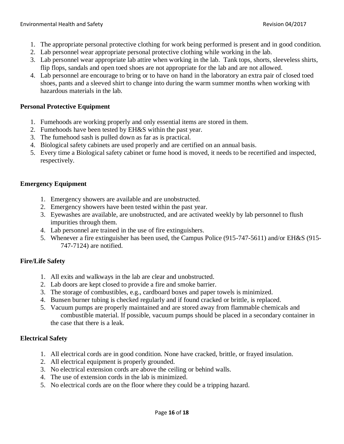- 1. The appropriate personal protective clothing for work being performed is present and in good condition.
- 2. Lab personnel wear appropriate personal protective clothing while working in the lab.
- 3. Lab personnel wear appropriate lab attire when working in the lab. Tank tops, shorts, sleeveless shirts, flip flops, sandals and open toed shoes are not appropriate for the lab and are not allowed.
- 4. Lab personnel are encourage to bring or to have on hand in the laboratory an extra pair of closed toed shoes, pants and a sleeved shirt to change into during the warm summer months when working with hazardous materials in the lab.

## **Personal Protective Equipment**

- 1. Fumehoods are working properly and only essential items are stored in them.
- 2. Fumehoods have been tested by EH&S within the past year.
- 3. The fumehood sash is pulled down as far as is practical.
- 4. Biological safety cabinets are used properly and are certified on an annual basis.
- 5. Every time a Biological safety cabinet or fume hood is moved, it needs to be recertified and inspected, respectively.

## **Emergency Equipment**

- 1. Emergency showers are available and are unobstructed.
- 2. Emergency showers have been tested within the past year.
- 3. Eyewashes are available, are unobstructed, and are activated weekly by lab personnel to flush impurities through them.
- 4. Lab personnel are trained in the use of fire extinguishers.
- 5. Whenever a fire extinguisher has been used, the Campus Police (915-747-5611) and/or EH&S (915- 747-7124) are notified.

# **Fire/Life Safety**

- 1. All exits and walkways in the lab are clear and unobstructed.
- 2. Lab doors are kept closed to provide a fire and smoke barrier.
- 3. The storage of combustibles, e.g., cardboard boxes and paper towels is minimized.
- 4. Bunsen burner tubing is checked regularly and if found cracked or brittle, is replaced.
- 5. Vacuum pumps are properly maintained and are stored away from flammable chemicals and combustible material. If possible, vacuum pumps should be placed in a secondary container in the case that there is a leak.

#### **Electrical Safety**

- 1. All electrical cords are in good condition. None have cracked, brittle, or frayed insulation.
- 2. All electrical equipment is properly grounded.
- 3. No electrical extension cords are above the ceiling or behind walls.
- 4. The use of extension cords in the lab is minimized.
- 5. No electrical cords are on the floor where they could be a tripping hazard.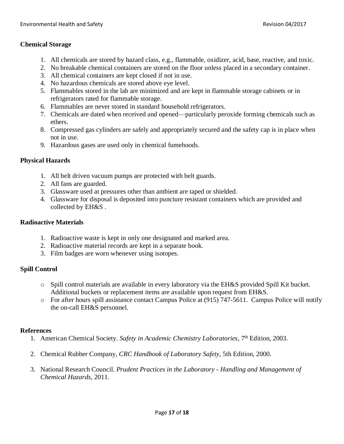# **Chemical Storage**

- 1. All chemicals are stored by hazard class, e.g., flammable, oxidizer, acid, base, reactive, and toxic.
- 2. No breakable chemical containers are stored on the floor unless placed in a secondary container.
- 3. All chemical containers are kept closed if not in use.
- 4. No hazardous chemicals are stored above eye level.
- 5. Flammables stored in the lab are minimized and are kept in flammable storage cabinets or in refrigerators rated for flammable storage.
- 6. Flammables are never stored in standard household refrigerators.
- 7. Chemicals are dated when received and opened—particularly peroxide forming chemicals such as ethers.
- 8. Compressed gas cylinders are safely and appropriately secured and the safety cap is in place when not in use.
- 9. Hazardous gases are used only in chemical fumehoods.

# **Physical Hazards**

- 1. All belt driven vacuum pumps are protected with belt guards.
- 2. All fans are guarded.
- 3. Glassware used at pressures other than ambient are taped or shielded.
- 4. Glassware for disposal is deposited into puncture resistant containers which are provided and collected by EH&S .

#### **Radioactive Materials**

- 1. Radioactive waste is kept in only one designated and marked area.
- 2. Radioactive material records are kept in a separate book.
- 3. Film badges are worn whenever using isotopes.

# **Spill Control**

- o Spill control materials are available in every laboratory via the EH&S provided Spill Kit bucket. Additional buckets or replacement items are available upon request from EH&S.
- o For after hours spill assistance contact Campus Police at (915) 747-5611. Campus Police will notify the on-call EH&S personnel.

#### **References**

- 1. American Chemical Society. Safety in Academic Chemistry Laboratories, 7<sup>th</sup> Edition, 2003.
- 2. Chemical Rubber Company, *CRC Handbook of Laboratory Safety*, 5th Edition, 2000.
- 3. National Research Council. *Prudent Practices in the Laboratory - Handling and Management of Chemical Hazards*, 2011.